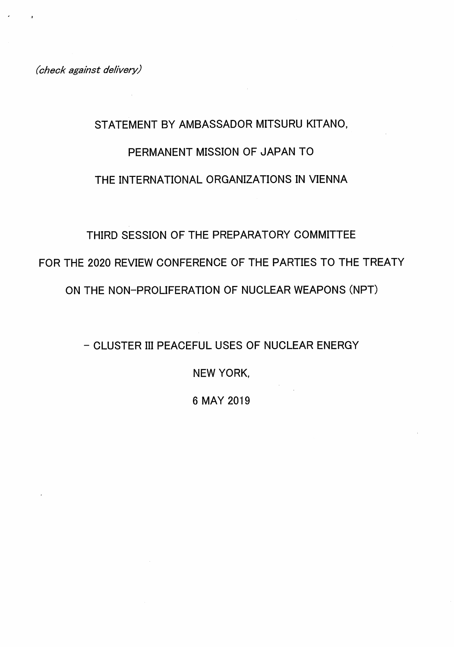(check against delivery)

# STATEMENT BY AMBASSADOR MITSURU KITANO, PERMANENT MISSION OF JAPAN TO THE INTERNATIONAL ORGANIZATIONS IN VIENNA

## THIRD SESSION OF THE PREPARATORY COMMITTEE

FOR THE 2020 REVIEW CONFERENCE OF THE PARTIES TO THE TREATY

ON THE NON-PROLIFERATION OF NUCLEAR WEAPONS (NPT)

- CLUSTER III PEACEFUL USES OF NUCLEAR ENERGY

NEW YORK,

6 MAY 2019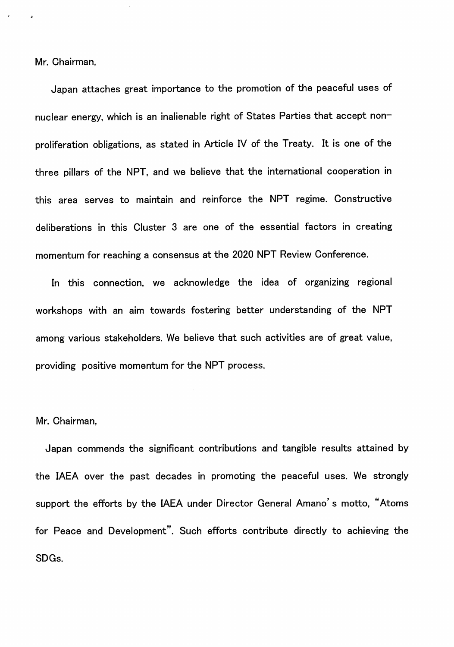Mr. Chairman,

Japan attaches great importance to the promotion of the peaceful uses of nuclear energy, which is an inalienable right of States Parties that accept nonproliferation obligations, as stated in Article IV of the Treaty. It is one of the three pillars of the NPT, and we believe that the international cooperation in this area serves to maintain and reinforce the NPT regime. Constructive deliberations in this Cluster 3 are one of the essential factors in creating momentum for reaching a consensus at the 2020 NPT Review Conference.

In this connection, we acknowledge the idea of organizing regional workshops with an aim towards fostering better understanding of the NPT among various stakeholders. We believe that such activities are of great value, providing positive momentum for the NPT process.

#### Mr. Chairman,

Japan commends the significant contributions and tangible results attained by the IAEA over the past decades in promoting the peaceful uses. We strongly support the efforts by the IAEA under Director General Amano's motto, "Atoms for Peace and Development". Such efforts contribute directly to achieving the SDGs.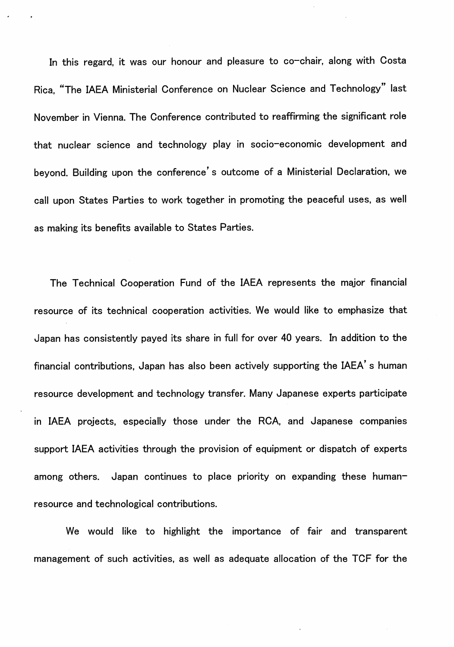In this regard, it was our honour and pleasure to co-chair, along with Costa Rica, "The IAEA Ministerial Conference on Nuclear Science and Technology" last November in Vienna. The Conference contributed to reaffirming the significant role that nuclear science and technology play in socio-economic development and beyond. Building upon the conference's outcome of a Ministerial Declaration, we call upon States Parties to work together in promoting the peaceful uses, as well as making its benefits available to States Parties.

The Technical Cooperation Fund of the IAEA represents the major financial resource of its technical cooperation activities. We would like to emphasize that Japan has consistently payed its share in full for over 40 years. In addition to the financial contributions, Japan has also been actively supporting the IAEA's human resource development and technology transfer. Many Japanese experts participate in IAEA projects, especially those under the RCA, and Japanese companies support IAEA activities through the provision of equipment or dispatch of experts among others. Japan continues to place priority on expanding these humanresource and technological contributions.

We would like to highlight the importance of fair and transparent management of such activities, as well as adequate allocation of the TCP for the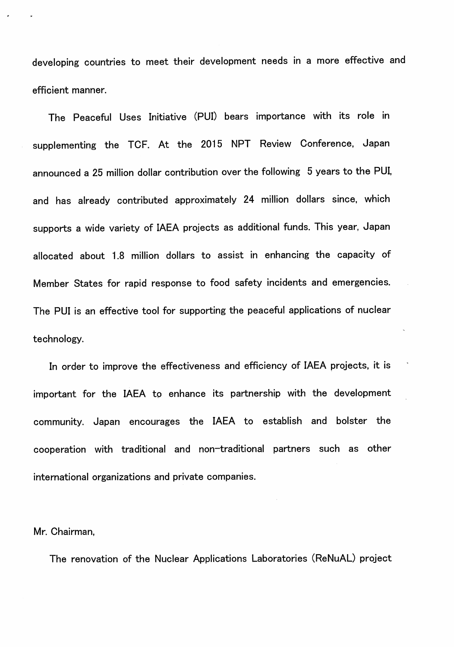developing countries to meet their development needs in a more effective and efficient manner.

The Peaceful Uses Initiative (PUI) bears importance with its role in supplementing the TCP. At the 2015 NPT Review Conference, Japan announced a 25 million dollar contribution over the following 5 years to the PUI, and has already contributed approximately 24 million dollars since, which supports a wide variety of IAEA projects as additional funds. This year, Japan allocated about 1.8 million dollars to assist in enhancing the capacity of Member States for rapid response to food safety incidents and emergencies. The PUI is an effective tool for supporting the peaceful applications of nuclear technology.

In order to improve the effectiveness and efficiency of IAEA projects, it is important for the IAEA to enhance its partnership with the development community. Japan encourages the IAEA to establish and bolster the cooperation with traditional and non-traditional partners such as other international organizations and private companies.

#### Mr. Chairman,

The renovation of the Nuclear Applications Laboratories (ReNuAL) project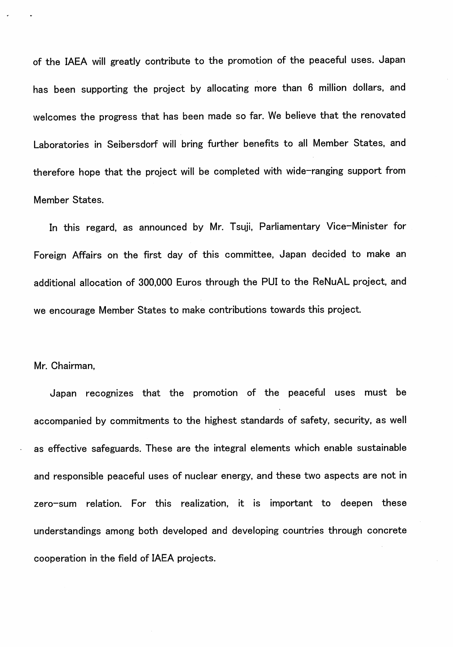of the IAEA will greatly contribute to the promotion of the peaceful uses. Japan has been supporting the project by allocating more than 6 million dollars, and welcomes the progress that has been made so far. We believe that the renovated Laboratories in Seibersdorf will bring further benefits to all Member States, and therefore hope that the project will be completed with wide-ranging support from Member States.

In this regard, as announced by Mr. Tsuji, Parliamentary Vice-Minister for Foreign Affairs on the first day of this committee, Japan decided to make an additional allocation of 300,000 Euros through the PUI to the ReNuAL project, and we encourage Member States to make contributions towards this project.

### Mr. Chairman,

Japan recognizes that the promotion of the peaceful uses must be accompanied by commitments to the highest standards of safety, security, as well as effective safeguards. These are the integral elements which enable sustainable and responsible peaceful uses of nuclear energy, and these two aspects are not in zero-sum relation. For this realization, it is important to deepen these understandings among both developed and developing countries through concrete cooperation in the field of IAEA projects.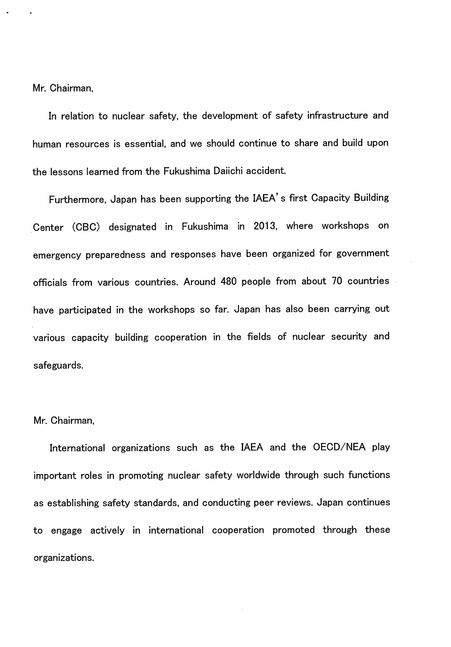Mr. Chairman,

In relation to nuclear safety, the development of safety infrastructure and human resources is essential, and we should continue to share and build upon the lessons learned from the Fukushima Daiichi accident.

Furthermore, Japan has been supporting the IAEA's first Capacity Building Center (CBC) designated in Fukushima in 2013, where workshops on emergency preparedness and responses have been organized for government officials from various countries. Around 480 people from about 70 countries have participated in the workshops so far. Japan has also been carrying out various capacity building cooperation in the fields of nuclear security and safeguards.

#### Mr. Chairman,

International organizations such as the IAEA and the OECD/NEA play important roles in promoting nuclear safety worldwide through such functions as establishing safety standards, and conducting peer reviews. Japan continues to engage actively in international cooperation promoted through these organizations.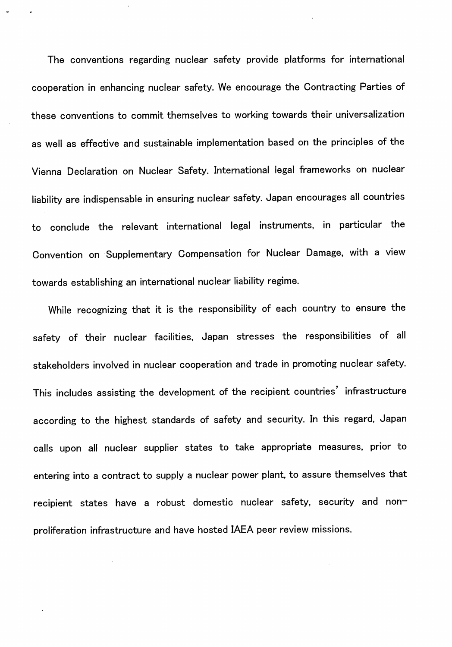The conventions regarding nuclear safety provide platforms for international cooperation in enhancing nuclear safety. We encourage the Contracting Parties of these conventions to commit themselves to working towards their universalization as well as effective and sustainable implementation based on the principles of the Vienna Declaration on Nuclear Safety. International legal frameworks on nuclear liability are indispensable in ensuring nuclear safety. Japan encourages all countries to conclude the relevant international legal instruments, in particular the Convention on Supplementary Compensation for Nuclear Damage, with a view towards establishing an international nuclear liability regime.

While recognizing that it is the responsibility of each country to ensure the safety of their nuclear facilities, Japan stresses the responsibilities of all stakeholders involved in nuclear cooperation and trade in promoting nuclear safety. This includes assisting the development of the recipient countries' infrastructure according to the highest standards of safety and security. In this regard, Japan calls upon all nuclear supplier states to take appropriate measures, prior to entering into a contract to supply a nuclear power plant, to assure themselves that recipient states have a robust domestic nuclear safety, security and nonproliferation infrastructure and have hosted IAEA peer review missions.